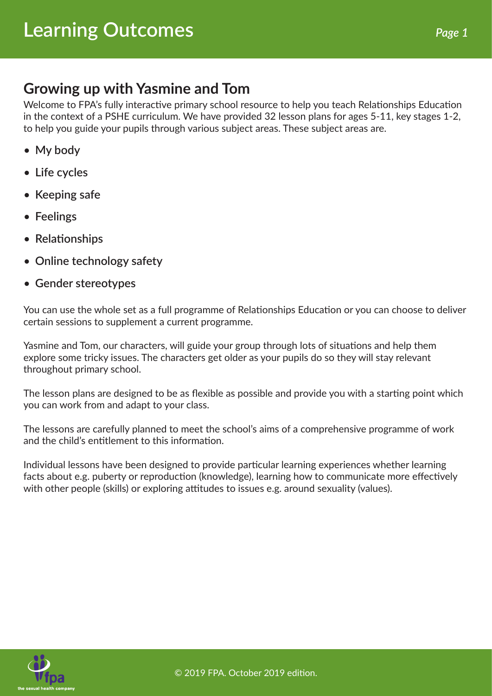#### **Growing up with Yasmine and Tom**

Welcome to FPA's fully interactive primary school resource to help you teach Relationships Education in the context of a PSHE curriculum. We have provided 32 lesson plans for ages 5-11, key stages 1-2, to help you guide your pupils through various subject areas. These subject areas are.

- **My body**
- **Life cycles**
- **Keeping safe**
- **Feelings**
- **Relationships**
- **Online technology safety**
- **Gender stereotypes**

You can use the whole set as a full programme of Relationships Education or you can choose to deliver certain sessions to supplement a current programme.

Yasmine and Tom, our characters, will guide your group through lots of situations and help them explore some tricky issues. The characters get older as your pupils do so they will stay relevant throughout primary school.

The lesson plans are designed to be as flexible as possible and provide you with a starting point which you can work from and adapt to your class.

The lessons are carefully planned to meet the school's aims of a comprehensive programme of work and the child's entitlement to this information.

Individual lessons have been designed to provide particular learning experiences whether learning facts about e.g. puberty or reproduction (knowledge), learning how to communicate more effectively with other people (skills) or exploring attitudes to issues e.g. around sexuality (values).



© 2019 FPA. October 2019 edition.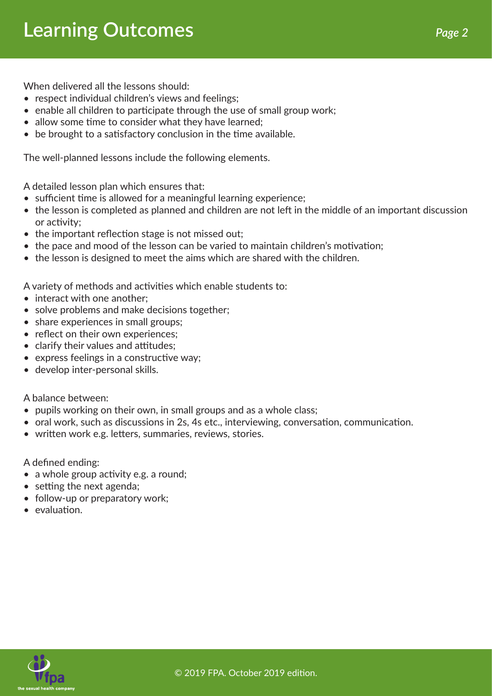When delivered all the lessons should:

- respect individual children's views and feelings:
- enable all children to participate through the use of small group work;
- allow some time to consider what they have learned;
- be brought to a satisfactory conclusion in the time available.

The well-planned lessons include the following elements.

A detailed lesson plan which ensures that:

- sufficient time is allowed for a meaningful learning experience;
- the lesson is completed as planned and children are not left in the middle of an important discussion or activity;
- the important reflection stage is not missed out:
- the pace and mood of the lesson can be varied to maintain children's motivation;
- the lesson is designed to meet the aims which are shared with the children.

A variety of methods and activities which enable students to:

- interact with one another:
- solve problems and make decisions together;
- share experiences in small groups;
- reflect on their own experiences;
- clarify their values and attitudes;
- express feelings in a constructive way;
- develop inter-personal skills.

A balance between:

- pupils working on their own, in small groups and as a whole class;
- oral work, such as discussions in 2s, 4s etc., interviewing, conversation, communication.
- written work e.g. letters, summaries, reviews, stories.

A defined ending:

- a whole group activity e.g. a round;
- setting the next agenda;
- follow-up or preparatory work:
- evaluation.

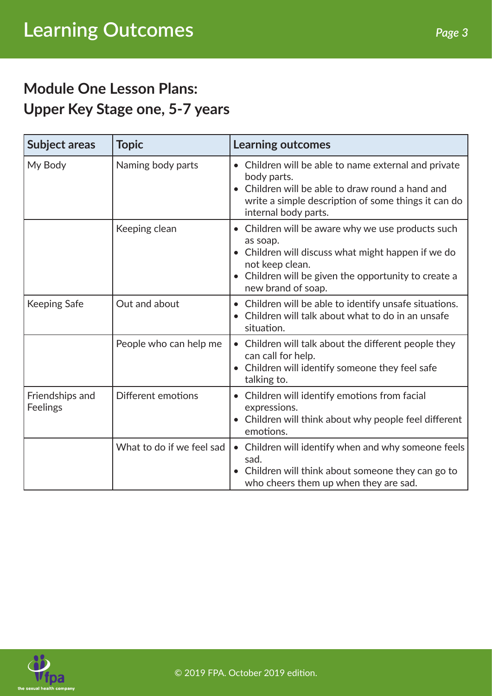### **Module One Lesson Plans: Upper Key Stage one, 5-7 years**

| <b>Subject areas</b>        | <b>Topic</b>              | <b>Learning outcomes</b>                                                                                                                                                                                       |
|-----------------------------|---------------------------|----------------------------------------------------------------------------------------------------------------------------------------------------------------------------------------------------------------|
| My Body                     | Naming body parts         | Children will be able to name external and private<br>body parts.<br>Children will be able to draw round a hand and<br>write a simple description of some things it can do<br>internal body parts.             |
|                             | Keeping clean             | Children will be aware why we use products such<br>as soap.<br>Children will discuss what might happen if we do<br>not keep clean.<br>Children will be given the opportunity to create a<br>new brand of soap. |
| <b>Keeping Safe</b>         | Out and about             | Children will be able to identify unsafe situations.<br>Children will talk about what to do in an unsafe<br>situation.                                                                                         |
|                             | People who can help me    | Children will talk about the different people they<br>can call for help.<br>Children will identify someone they feel safe<br>talking to.                                                                       |
| Friendships and<br>Feelings | Different emotions        | Children will identify emotions from facial<br>expressions.<br>Children will think about why people feel different<br>emotions.                                                                                |
|                             | What to do if we feel sad | • Children will identify when and why someone feels<br>sad.<br>Children will think about someone they can go to<br>who cheers them up when they are sad.                                                       |



© 2019 FPA. October 2019 edition.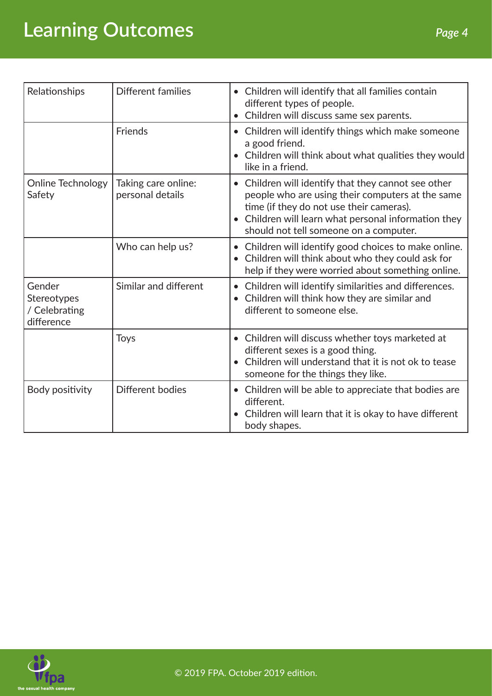# **Learning Outcomes** *Page 4*

| Relationships                                        | Different families                      | • Children will identify that all families contain<br>different types of people.<br>Children will discuss same sex parents.<br>$\bullet$                                                                                                          |
|------------------------------------------------------|-----------------------------------------|---------------------------------------------------------------------------------------------------------------------------------------------------------------------------------------------------------------------------------------------------|
|                                                      | Friends                                 | Children will identify things which make someone<br>a good friend.<br>Children will think about what qualities they would<br>like in a friend.                                                                                                    |
| Online Technology<br>Safety                          | Taking care online:<br>personal details | Children will identify that they cannot see other<br>people who are using their computers at the same<br>time (if they do not use their cameras).<br>Children will learn what personal information they<br>should not tell someone on a computer. |
|                                                      | Who can help us?                        | Children will identify good choices to make online.<br>Children will think about who they could ask for<br>help if they were worried about something online.                                                                                      |
| Gender<br>Stereotypes<br>/ Celebrating<br>difference | Similar and different                   | Children will identify similarities and differences.<br>$\bullet$<br>Children will think how they are similar and<br>different to someone else.                                                                                                   |
|                                                      | <b>Toys</b>                             | • Children will discuss whether toys marketed at<br>different sexes is a good thing.<br>Children will understand that it is not ok to tease<br>$\bullet$<br>someone for the things they like.                                                     |
| Body positivity                                      | Different bodies                        | Children will be able to appreciate that bodies are<br>$\bullet$<br>different.<br>Children will learn that it is okay to have different<br>$\bullet$<br>body shapes.                                                                              |

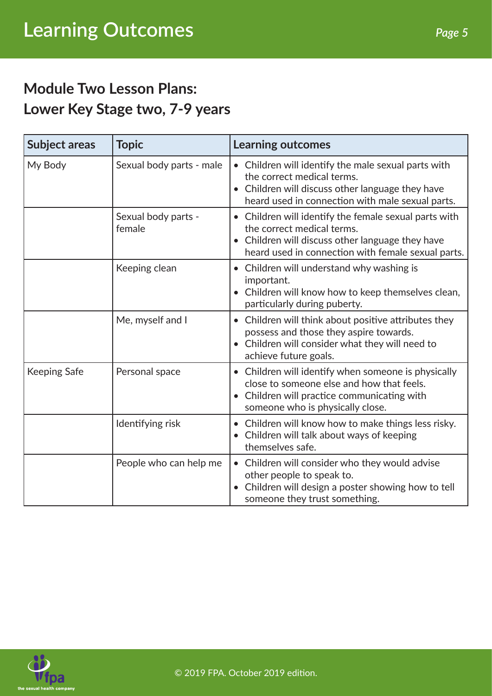### **Module Two Lesson Plans: Lower Key Stage two, 7-9 years**

| <b>Subject areas</b> | <b>Topic</b>                  | <b>Learning outcomes</b>                                                                                                                                                                                 |
|----------------------|-------------------------------|----------------------------------------------------------------------------------------------------------------------------------------------------------------------------------------------------------|
| My Body              | Sexual body parts - male      | • Children will identify the male sexual parts with<br>the correct medical terms.<br>Children will discuss other language they have<br>$\bullet$<br>heard used in connection with male sexual parts.     |
|                      | Sexual body parts -<br>female | • Children will identify the female sexual parts with<br>the correct medical terms.<br>Children will discuss other language they have<br>$\bullet$<br>heard used in connection with female sexual parts. |
|                      | Keeping clean                 | Children will understand why washing is<br>important.<br>Children will know how to keep themselves clean,<br>particularly during puberty.                                                                |
|                      | Me, myself and I              | Children will think about positive attributes they<br>$\bullet$<br>possess and those they aspire towards.<br>• Children will consider what they will need to<br>achieve future goals.                    |
| <b>Keeping Safe</b>  | Personal space                | • Children will identify when someone is physically<br>close to someone else and how that feels.<br>Children will practice communicating with<br>someone who is physically close.                        |
|                      | Identifying risk              | Children will know how to make things less risky.<br>$\bullet$<br>Children will talk about ways of keeping<br>themselves safe.                                                                           |
|                      | People who can help me        | • Children will consider who they would advise<br>other people to speak to.<br>Children will design a poster showing how to tell<br>someone they trust something.                                        |

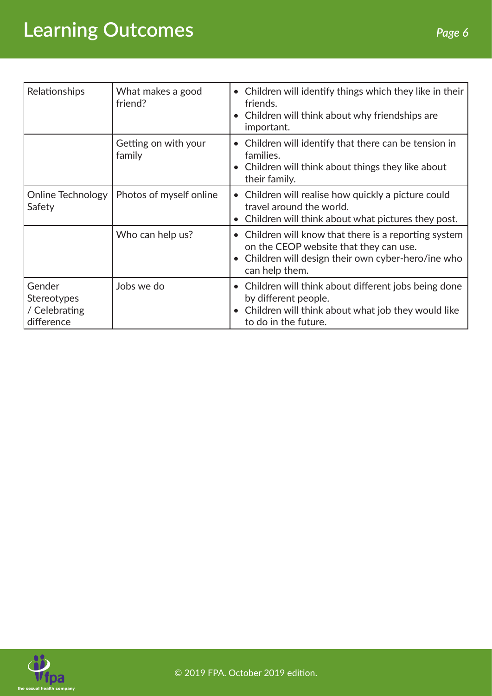# **Learning Outcomes** *Page 6*

| Relationships                                        | What makes a good<br>friend?   | • Children will identify things which they like in their<br>friends.<br>• Children will think about why friendships are<br>important.                                    |
|------------------------------------------------------|--------------------------------|--------------------------------------------------------------------------------------------------------------------------------------------------------------------------|
|                                                      | Getting on with your<br>family | Children will identify that there can be tension in<br>families.<br>• Children will think about things they like about<br>their family.                                  |
| Online Technology<br>Safety                          | Photos of myself online        | • Children will realise how quickly a picture could<br>travel around the world.<br>Children will think about what pictures they post.                                    |
|                                                      | Who can help us?               | • Children will know that there is a reporting system<br>on the CEOP website that they can use.<br>• Children will design their own cyber-hero/ine who<br>can help them. |
| Gender<br>Stereotypes<br>/ Celebrating<br>difference | Jobs we do                     | • Children will think about different jobs being done<br>by different people.<br>Children will think about what job they would like<br>to do in the future.              |

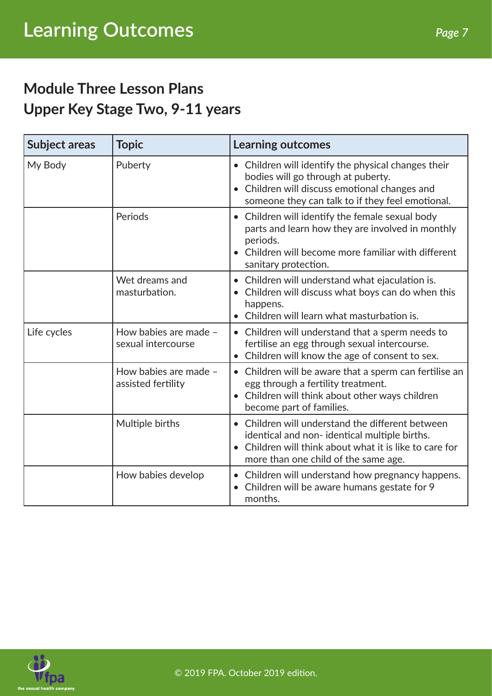### **Module Three Lesson Plans Upper Key Stage Two, 9-11 years**

| <b>Subject areas</b> | <b>Topic</b>                                | <b>Learning outcomes</b>                                                                                                                                                                        |
|----------------------|---------------------------------------------|-------------------------------------------------------------------------------------------------------------------------------------------------------------------------------------------------|
| My Body              | Puberty                                     | • Children will identify the physical changes their<br>bodies will go through at puberty.<br>Children will discuss emotional changes and<br>someone they can talk to if they feel emotional.    |
|                      | Periods                                     | Children will identify the female sexual body<br>parts and learn how they are involved in monthly<br>periods.<br>• Children will become more familiar with different<br>sanitary protection.    |
|                      | Wet dreams and<br>masturbation.             | Children will understand what ejaculation is.<br>Children will discuss what boys can do when this<br>happens.<br>• Children will learn what masturbation is.                                    |
| Life cycles          | How babies are made -<br>sexual intercourse | • Children will understand that a sperm needs to<br>fertilise an egg through sexual intercourse.<br>Children will know the age of consent to sex.                                               |
|                      | How babies are made -<br>assisted fertility | • Children will be aware that a sperm can fertilise an<br>egg through a fertility treatment.<br>• Children will think about other ways children<br>become part of families.                     |
|                      | Multiple births                             | Children will understand the different between<br>identical and non-identical multiple births.<br>Children will think about what it is like to care for<br>more than one child of the same age. |
|                      | How babies develop                          | Children will understand how pregnancy happens.<br>Children will be aware humans gestate for 9<br>months.                                                                                       |